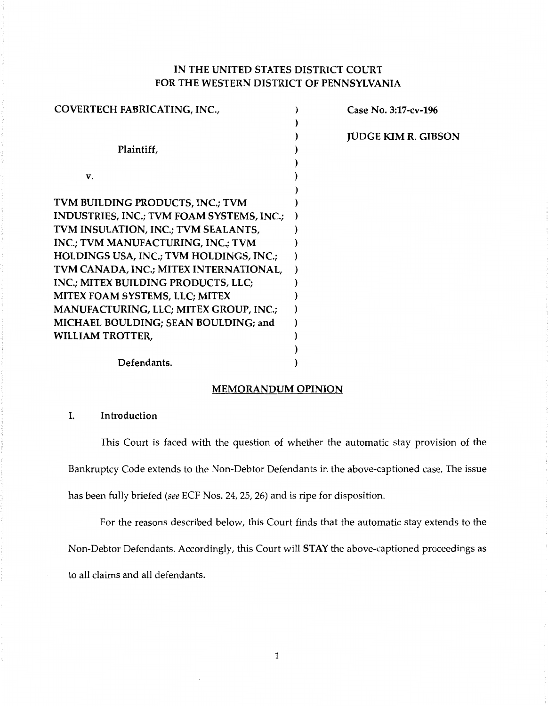# IN THE UNITED STATES DISTRICT COURT FOR THE WESTERN DISTRICT OF PENNSYLVANIA

| COVERTECH FABRICATING, INC.,              | Case No. 3:17-cv-196       |
|-------------------------------------------|----------------------------|
|                                           |                            |
|                                           | <b>JUDGE KIM R. GIBSON</b> |
| Plaintiff,                                |                            |
|                                           |                            |
| V.                                        |                            |
|                                           |                            |
| TVM BUILDING PRODUCTS, INC.; TVM          |                            |
| INDUSTRIES, INC.; TVM FOAM SYSTEMS, INC.; |                            |
| TVM INSULATION, INC.; TVM SEALANTS,       |                            |
| INC.; TVM MANUFACTURING, INC.; TVM        |                            |
| HOLDINGS USA, INC.; TVM HOLDINGS, INC.;   |                            |
| TVM CANADA, INC.; MITEX INTERNATIONAL,    |                            |
| INC.; MITEX BUILDING PRODUCTS, LLC;       |                            |
| MITEX FOAM SYSTEMS, LLC; MITEX            |                            |
| MANUFACTURING, LLC; MITEX GROUP, INC.;    |                            |
| MICHAEL BOULDING; SEAN BOULDING; and      |                            |
| <b>WILLIAM TROTTER,</b>                   |                            |
|                                           |                            |
| Defendants.                               |                            |
|                                           |                            |

### MEMORANDUM OPINION

### I. Introduction

This Court is faced with the question of whether the automatic stay provision of the Bankruptcy Code extends to the Non-Debtor Defendants in the above-captioned case. The issue has been fully briefed *(see* ECF Nos. 24, 25, 26) and is ripe for disposition.

For the reasons described below, this Court finds that the automatic stay extends to the Non-Debtor Defendants. Accordingly, this Court will STAY the above-captioned proceedings as to all claims and all defendants.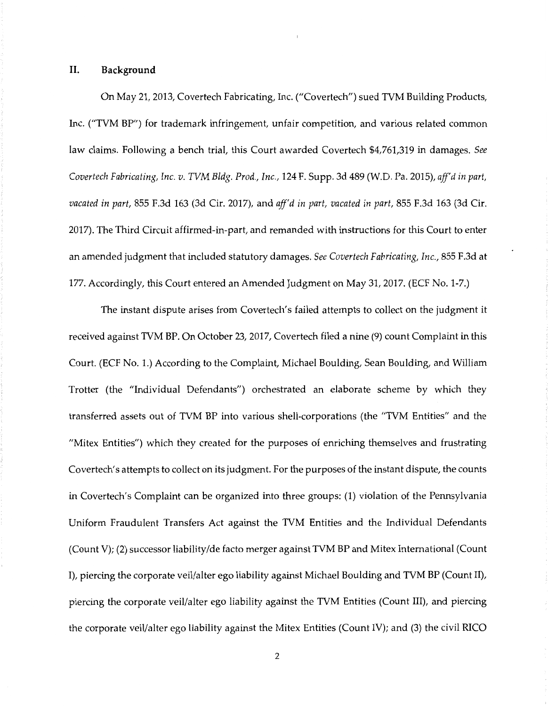#### **II. Background**

On May 21, 2013, Covertech Fabricating, Inc. ("Covertech") sued TVM Building Products, Inc. ("TVM BP") for trademark infringement, unfair competition, and various related common law claims. Following a bench trial, this Court awarded Covertech \$4,761,319 in damages. *See Covertech Fabricating, Inc. v. TVM Bldg. Prod., Inc.,* 124 F. Supp. 3d 489 (W.D. Pa. 2015), *aff'd in part, vacated in part,* 855 F.3d 163 (3d Cir. 2017), and *aff'd in part, vacated in part,* 855 F.3d 163 (3d Cir. 2017). The Third Circuit affirmed-in-part, and remanded with instructions for this Court to enter an amended judgment that included statutory damages. *See Covertech Fabricating, Inc.,* 855 F.3d at 177. Accordingly, this Court entered an Amended Judgment on May 31, 2017. (ECF No. 1-7.)

The instant dispute arises from Covertech's failed attempts to collect on the judgment it received against TVM BP. On October 23, 2017, Covertech filed a nine (9) count Complaint in this Court. (ECF No. 1.) According to the Complaint, Michael Boulding, Sean Boulding, and William Trotter (the "Individual Defendants") orchestrated an elaborate scheme by which they transferred assets out of TVM BP into various shell-corporations (the "TVM Entities" and the "Mitex Entities") which they created for the purposes of enriching themselves and frustrating Covertech's attempts to collect on its judgment. For the purposes of the instant dispute, the counts in Covertech's Complaint can be organized into three groups: (1) violation of the Pennsylvania Uniform Fraudulent Transfers Act against the TVM Entities and the Individual Defendants (Count V); (2) successor liability/de facto merger against TVM BP and Mitex International (Count I), piercing the corporate veil/alter ego liability against Michael Boulding and TVM BP (Count II), piercing the corporate veil/alter ego liability against the TVM Entities (Count III), and piercing the corporate veil/alter ego liability against the Mitex Entities (Count IV); and (3) the civil RICO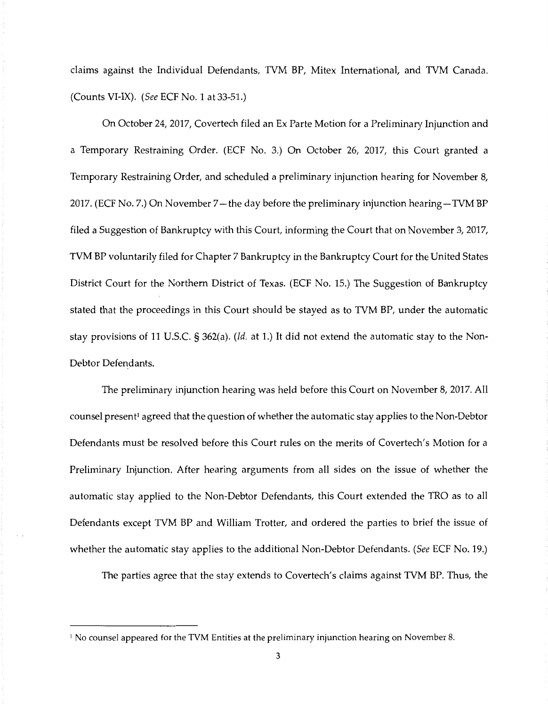claims against the Individual Defendants, TVM BP, Mitex International, and TVM Canada. (Counts VI-IX). (See ECF No. 1at33-51.)

On October 24, 2017, Covertech filed an Ex Parte Motion for a Preliminary Injunction and a Temporary Restraining Order. (ECF No. 3.) On October 26, 2017, this Court granted a Temporary Restraining Order, and scheduled a preliminary injunction hearing for November 8, 2017. (ECF No. 7.) On November 7—the day before the preliminary injunction hearing-TVM BP filed a Suggestion of Bankruptcy with this Court, informing the Court that on November 3, 2017, TVM BP voluntarily filed for Chapter 7 Bankruptcy in the Bankruptcy Court for the United States District Court for the Northern District of Texas. (ECF No. 15.) The Suggestion of Bankruptcy stated that the proceedings in this Court should be stayed as to TVM BP, under the automatic stay provisions of 11 U.S.C. § 362(a). *(Id.* at 1.) It did not extend the automatic stay to the Non-Debtor Defendants.

The preliminary injunction hearing was held before this Court on November 8, 2017. All counsel present<sup>1</sup> agreed that the question of whether the automatic stay applies to the Non-Debtor Defendants must be resolved before this Court rules on the merits of Covertech's Motion for a Preliminary Injunction. After hearing arguments from all sides on the issue of whether the automatic stay applied to the Non-Debtor Defendants, this Court extended the TRO as to all Defendants except TVM BP and William Trotter, and ordered the parties to brief the issue of whether the automatic stay applies to the additional Non-Debtor Defendants. (See ECF No. 19.)

The parties agree that the stay extends to Covertech's claims against TVM BP. Thus, the

<sup>&</sup>lt;sup>1</sup> No counsel appeared for the TVM Entities at the preliminary injunction hearing on November 8.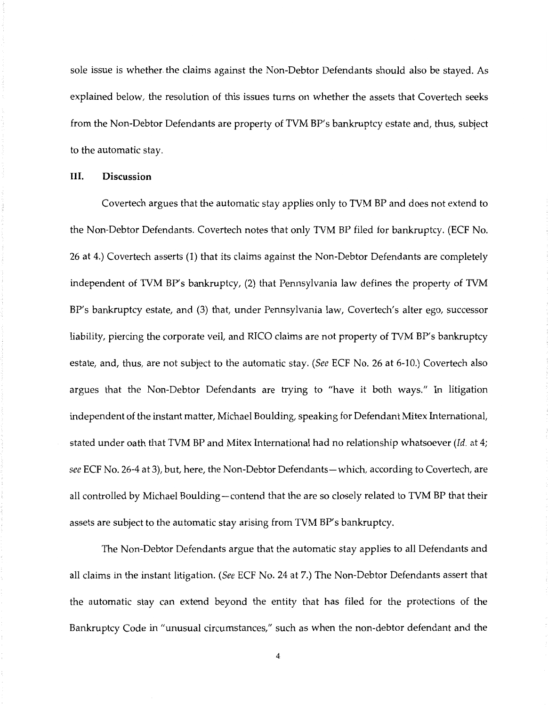sole issue is whether. the claims against the Non-Debtor Defendants should also be stayed. As explained below, the resolution of this issues turns on whether the assets that Covertech seeks from the Non-Debtor Defendants are property of TVM BP's bankruptcy estate and, thus, subject to the automatic stay.

### **Ill. Discussion**

Covertech argues that the automatic stay applies only to TVM BP and does not extend to the Non-Debtor Defendants. Covertech notes that only TVM BP filed for bankruptcy. (ECF No. 26 at 4.) Covertech asserts (1) that its claims against the Non-Debtor Defendants are completely independent of TVM BP's bankruptcy, (2) that Pennsylvania law defines the property of TVM BP's bankruptcy estate, and (3) that, under Pennsylvania law, Covertech's alter ego, successor liability, piercing the corporate veil, and RICO claims are not property of TVM BP's bankruptcy estate, and, thus, are not subject to the automatic stay. *(See* ECF No. 26 at 6-10.) Covertech also argues that the Non-Debtor Defendants are trying to "have it both ways." In litigation independent of the instant matter, Michael Boulding, speaking for Defendant Mitex International, stated under oath that TVM BP and Mitex International had no relationship whatsoever *(Id.* at 4; *see* ECF No. 26-4 at 3), but, here, the Non-Debtor Defendants-which, according to Covertech, are all controlled by Michael Boulding-contend that the are so closely related to TVM BP that their assets are subject to the automatic stay arising from TVM BP's bankruptcy.

The Non-Debtor Defendants argue that the automatic stay applies to all Defendants and all claims in the instant litigation. *(See* ECF No. 24 at 7.) The Non-Debtor Defendants assert that the automatic stay can extend beyond the entity that has filed for the protections of the Bankruptcy Code in "unusual circumstances," such as when the non-debtor defendant and the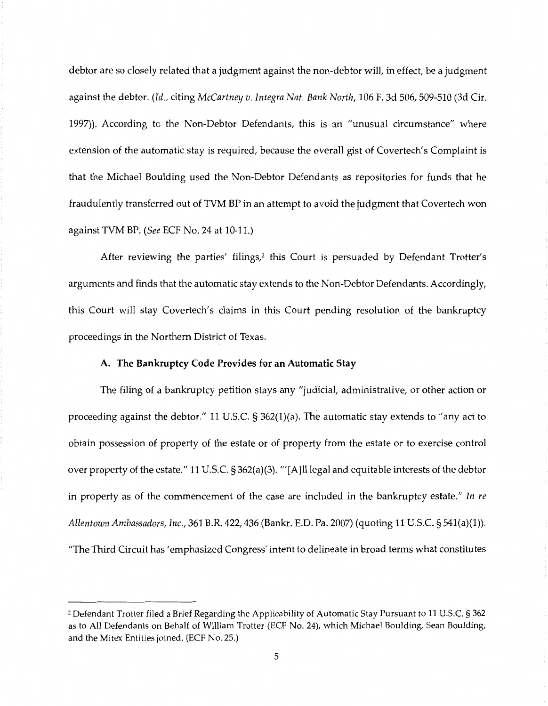debtor are so closely related that a judgment against the non-debtor will, in effect, be a judgment against the debtor. *(Id.,* citing *McCartney v. Integra Nat. Bank North,* 106 F. 3d 506, 509-510 (3d Cir. 1997)). According to the Non-Debtor Defendants, this is an "unusual circumstance" where extension of the automatic stay is required, because the overall gist of Covertech's Complaint is that the Michael Boulding used the Non-Debtor Defendants as repositories for funds that he fraudulently transferred out of TVM BP in an attempt to avoid the judgment that Covertech won against TVM BP. *(See* ECF No. 24at10-11.)

After reviewing the parties' filings,<sup>2</sup> this Court is persuaded by Defendant Trotter's arguments and finds that the automatic stay extends to the Non-Debtor Defendants. Accordingly, this Court will stay Covertech's claims in this Court pending resolution of the bankruptcy proceedings in the Northern District of Texas.

### **A. The Bankruptcy Code Provides for an Automatic Stay**

The filing of a bankruptcy petition stays any "judicial, administrative, or other action or proceeding against the debtor." 11U.S.C.§362(1)(a). The automatic stay extends to "any act to obtain possession of property of the estate or of property from the estate or to exercise control over property of the estate." 11U.S.C.§362(a)(3). "'[A]ll legal and equitable interests of the debtor in property as of the commencement of the case are included in the bankruptcy estate." *In re Allentown Ambassadors, Inc.,* 361B.R.422, 436 (Bankr. E.D. Pa. 2007) (quoting 11U.S.C.§541(a)(l)). "The Third Circuit has' emphasized Congress' intent to delineate in broad terms what constitutes

<sup>2</sup> Defendant Trotter filed a Brief Regarding the Applicability of Automatic Stay Pursuant to 11 U.S.C. § 362 as to All Defendants on Behalf of William Trotter (ECF No. 24), which Michael Boulding, Sean Boulding, and the Mitex Entities joined. (ECF No. 25.)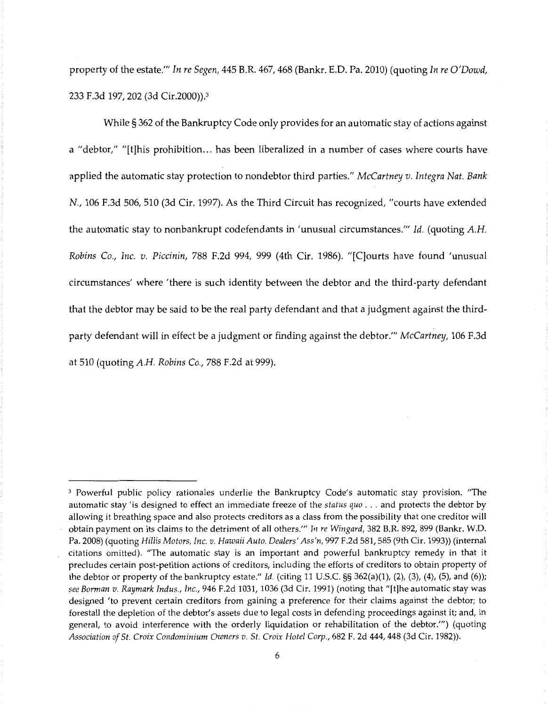property of the estate."' *In re Segen,* 445 B.R. 467, 468 (Bankr. E.D. Pa. 2010) (quoting *In re O'Dowd,*  233 F.3d 197, 202 (3d Cir.2000)).3

While§ 362 of the Bankruptcy Code only provides for an automatic stay of actions against a "debtor," "[t]his prohibition... has been liberalized in a number of cases where courts have applied the automatic stay protection to nondebtor third parties." *McCartney v. Integra Nat. Bank*  N., 106 F.3d 506, 510 (3d Cir. 1997). As the Third Circuit has recognized, "courts have extended the automatic stay to nonbankrupt codefendants in 'unusual circumstances."' *Id.* (quoting A.H. *Robins Co., Inc. v. Piccinin,* 788 F.2d 994, 999 (4th Cir. 1986). "[C]ourts have found 'unusual circumstances' where 'there is such identity between the debtor and the third-party defendant that the debtor may be said to be the real party defendant and that a judgment against the thirdparty defendant will in effect be a judgment or finding against the debtor."' *McCartney,* 106 F.3d at 510 (quoting A.H. *Robins Co.,* 788 F.2d at 999).

<sup>&</sup>lt;sup>3</sup> Powerful public policy rationales underlie the Bankruptcy Code's automatic stay provision. "The automatic stay 'is designed to effect an immediate freeze of the *status quo* ... and protects the debtor by allowing it breathing space and also protects creditors as a class from the possibility that one creditor will obtain payment on its claims to the detriment of all others."' *In re Wingard,* 382 B.R. 892, 899 (Bankr. W.D. Pa. 2008) (quoting *Hillis Motors, Inc. v. Hawaii Auto. Dealers' Ass'n,* 997 F.2d 581, 585 (9th Cir. 1993)) (internal citations omitted). "The automatic stay is an important and powerful bankruptcy remedy in that it precludes certain post-petition actions of creditors, including the efforts of creditors to obtain property of the debtor or property of the bankruptcy estate." *Id.* (citing 11 U.S.C. §§ 362(a)(l), (2), (3), (4), (5), and (6)); *see Borman v. Raymark Indus., Inc.,* 946 F.2d 1031, 1036 (3d Cir. 1991) (noting that "[t]he automatic stay was designed 'to prevent certain creditors from gaining a preference for their claims against the debtor; to forestall the depletion of the debtor's assets due to legal costs in defending proceedings against it; and, in general, to avoid interference with the orderly liquidation or rehabilitation of the debtor.'") (quoting *Association of St. Croix Condominium Owners v. St. Croix Hotel Corp.,* 682 F. 2d 444, 448 (3d Cir. 1982)).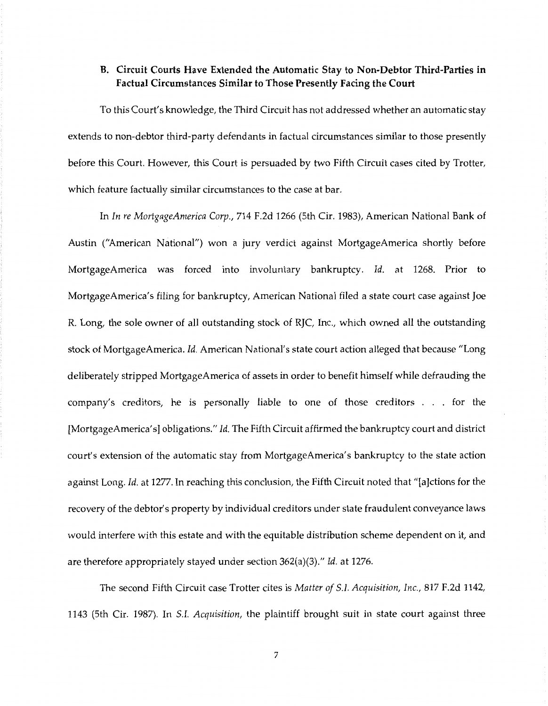### **B. Circuit Courts Have Extended the Automatic Stay to Non-Debtor Third-Parties in Factual Circumstances Similar to Those Presently Facing the Court**

To this Court's knowledge, the Third Circuit has not addressed whether an automatic stay extends to non-debtor third-party defendants in factual circumstances similar to those presently before this Court. However, this Court is persuaded by two Fifth Circuit cases cited by Trotter, which feature factually similar circumstances to the case at bar.

In *In re MortgageAmerica Corp.,* 714 F.2d 1266 (5th Cir. 1983), American National Bank of Austin ("American National") won a jury verdict against MortgageAmerica shortly before MortgageAmerica was forced into involuntary bankruptcy. *Id.* at 1268. Prior to MortgageAmerica's filing for bankruptcy, American National filed a state court case against Joe R. Long, the sole owner of all outstanding stock of RJC, Inc., which owned all the outstanding stock of MortgageAmerica. *Id.* American National's state court action alleged that because "Long deliberately stripped MortgageAmerica of assets in order to benefit himself while defrauding the company's creditors, he is personally liable to one of those creditors . . . for the [MortgageAmerica's] obligations." *Id.* The Fifth Circuit affirmed the bankruptcy court and district court's extension of the automatic stay from MortgageAmerica's bankruptcy to the state action against Long. *Id.* at 1277. In reaching this conclusion, the Fifth Circuit noted that "[a]ctions for the recovery of the debtor's property by individual creditors under state fraudulent conveyance laws would interfere with this estate and with the equitable distribution scheme dependent on it, and are therefore appropriately stayed under section 362(a)(3)." *Id.* at 1276.

The second Fifth Circuit case Trotter cites is *Matter of S.I. Acquisition, Inc.,* 817 F.2d 1142, 1143 (5th Cir. 1987). In *S.I. Acquisition,* the plaintiff brought suit in state court against three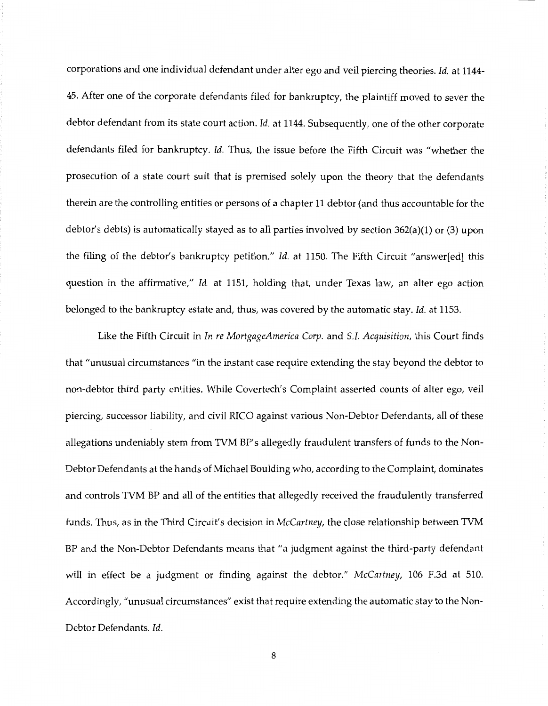corporations and one individual defendant under alter ego and veil piercing theories. *Id.* at 1144- 45. After one of the corporate defendants filed for bankruptcy, the plaintiff moved to sever the debtor defendant from its state court action. *Id.* at 1144. Subsequently, one of the other corporate defendants filed for bankruptcy. *Id.* Thus, the issue before the Fifth Circuit was "whether the prosecution of a state court suit that is premised solely upon the theory that the defendants therein are the controlling entities or persons of a chapter 11 debtor (and thus accountable for the debtor's debts) is automatically stayed as to all parties involved by section 362(a)(l) or (3) upon the filing of the debtor's bankruptcy petition." *Id.* at 1150. The Fifth Circuit "answer[ed] this question in the affirmative," *Id.* at 1151, holding that, under Texas law, an alter ego action belonged to the bankruptcy estate and, thus, was covered by the automatic stay. *Id.* at 1153.

Like the Fifth Circuit in *In re MortgageAmerica Corp.* and *S.I. Acquisition,* this Court finds that "unusual circumstances "in the instant case require extending the stay beyond the debtor to non-debtor third party entities. While Covertech's Complaint asserted counts of alter ego, veil piercing, successor liability, and civil RICO against various Non-Debtor Defendants, all of these allegations undeniably stem from TVM BP's allegedly fraudulent transfers of funds to the Non-Debtor Defendants at the hands of Michael Boulding who, according to the Complaint, dominates and controls TVM BP and all of the entities that allegedly received the fraudulently transferred funds. Thus, as in the Third Circuit's decision in *McCartney,* the close relationship between TVM BP and the Non-Debtor Defendants means that "a judgment against the third-party defendant will in effect be a judgment or finding against the debtor." *McCartney,* 106 F.3d at 510. Accordingly, "unusual circumstances" exist that require extending the automatic stay to the Non-Debtor Defendants. *Id.*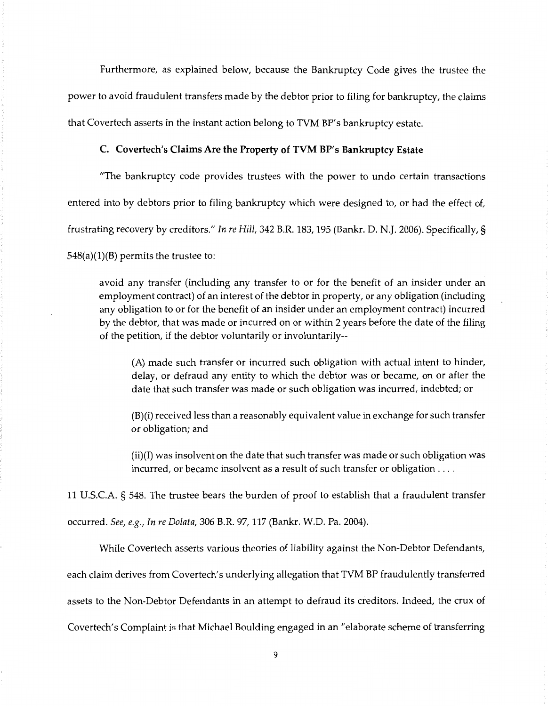Furthermore, as explained below, because the Bankruptcy Code gives the trustee the power to avoid fraudulent transfers made by the debtor prior to filing for bankruptcy, the claims that Covertech asserts in the instant action belong to TVM BP's bankruptcy estate.

#### **C. Covertech's Claims Are the Property of TVM BP's Bankruptcy Estate**

"The bankruptcy code provides trustees with the power to undo certain transactions entered into by debtors prior to filing bankruptcy which were designed to, or had the effect of, frustrating recovery by creditors." In *re Hill,* 342 B.R. 183, 195 (Bankr. D. N.J. 2006). Specifically,§  $548(a)(1)(B)$  permits the trustee to:

avoid any transfer (including any transfer to or for the benefit of an insider under an employment contract) of an interest of the debtor in property, or any obligation (including any obligation to or for the benefit of an insider under an employment contract) incurred by the debtor, that was made or incurred on or within 2 years before the date of the filing of the petition, if the debtor voluntarily or involuntarily--

(A) made such transfer or incurred such obligation with actual intent to hinder, delay, or defraud any entity to which the debtor was or became, on or after the date that such transfer was made or such obligation was incurred, indebted; or

(B)(i) received less than a reasonably equivalent value in exchange for such transfer or obligation; and

(ii)(I) was insolvent on the date that such transfer was made or such obligation was incurred, or became insolvent as a result of such transfer or obligation ....

11 U.S.C.A. § 548. The trustee bears the burden of proof to establish that a fraudulent transfer occurred. *See, e.g., In re Dolata,* 306 B.R. 97, 117 (Bankr. W.D. Pa. 2004).

While Covertech asserts various theories of liability against the Non-Debtor Defendants,

each claim derives from Covertech's underlying allegation that TVM BP fraudulently transferred

assets to the Non-Debtor Defendants in an attempt to defraud its creditors. Indeed, the crux of

Covertech's Complaint is that Michael Boulding engaged in an "elaborate scheme of transferring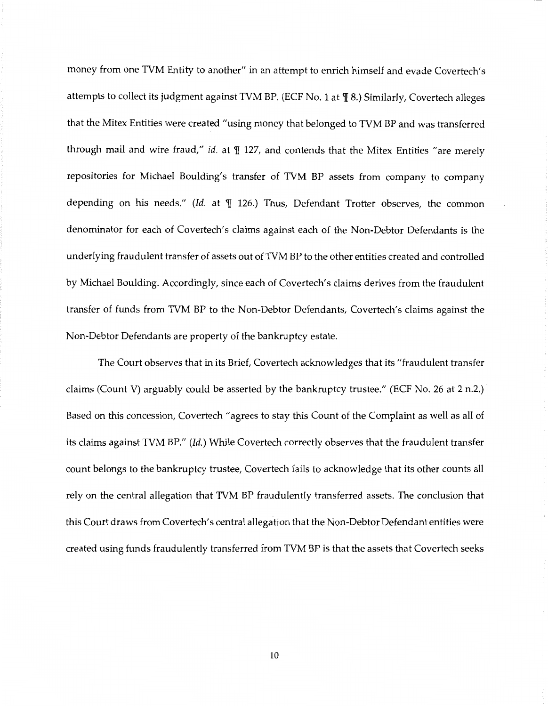money from one TVM Entity to another" in an attempt to enrich himself and evade Covertech's attempts to collect its judgment against TVM BP. (ECF No. 1 at  $\P$  8.) Similarly, Covertech alleges that the Mitex Entities were created "using money that belonged to TVM BP and was transferred through mail and wire fraud," *id.* at  $\P$  127, and contends that the Mitex Entities "are merely repositories for Michael Boulding's transfer of TVM BP assets from company to company depending on his needs." *(Id. at*  $\P$  126.) Thus, Defendant Trotter observes, the common denominator for each of Covertech's claims against each of the Non-Debtor Defendants is the underlying fraudulent transfer of assets out of TVM BP to the other entities created and controlled by Michael Boulding. Accordingly, since each of Covertech's claims derives from the fraudulent transfer of funds from TVM BP to the Non-Debtor Defendants, Covertech's claims against the Non-Debtor Defendants are property of the bankruptcy estate.

The Court observes that in its Brief, Covertech acknowledges that its "fraudulent transfer claims (Count V) arguably could be asserted by the bankruptcy trustee." (ECF No. 26 at 2 n.2.) Based on this concession, Covertech "agrees to stay this Count of the Complaint as well as all of its claims against TVM BP." *(Id.)* While Covertech correctly observes that the fraudulent transfer count belongs to the bankruptcy trustee, Covertech fails to acknowledge that its other counts all rely on the central allegation that TVM BP fraudulently transferred assets. The conclusion that this Court draws from Covertech's central allegation that the Non-Debtor Defendant entities were created using funds fraudulently transferred from TVM BP is that the assets that Covertech seeks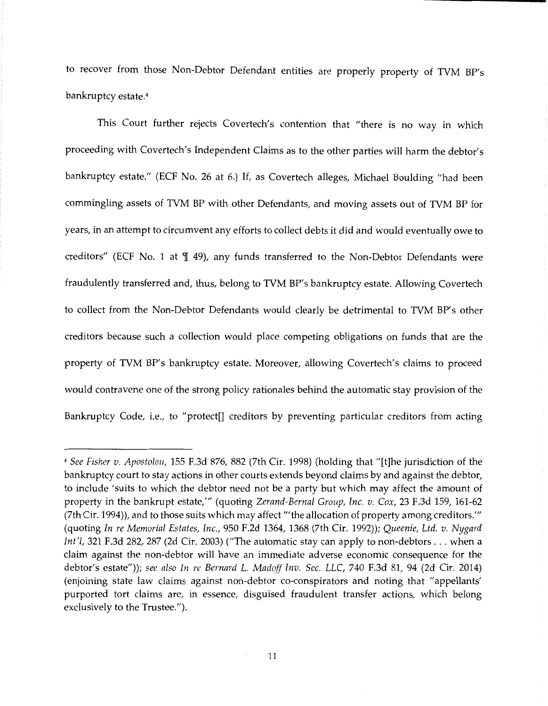to recover from those Non-Debtor Defendant entities are properly property of TVM BP's bankruptcy estate.<sup>4</sup>

This Court further rejects Covertech's contention that "there is no way in which proceeding with Covertech's Independent Claims as to the other parties will harm the debtor's bankruptcy estate." (ECF No. 26 at 6.) If, as Covertech alleges, Michael Boulding "had been commingling assets of TVM BP with other Defendants, and moving assets out of TVM BP for years, in an attempt to circumvent any efforts to collect debts it did and would eventually owe to creditors" (ECF No. 1 at  $\P$  49), any funds transferred to the Non-Debtor Defendants were fraudulently transferred and, thus, belong to TVM BP's bankruptcy estate. Allowing Covertech to collect from the Non-Debtor Defendants would clearly be detrimental to TVM BP's other creditors because such a collection would place competing obligations on funds that are the property of TVM BP's bankruptcy estate. Moreover, allowing Covertech's claims to proceed would contravene one of the strong policy rationales behind the automatic stay provision of the Bankruptcy Code, i.e., to "protect[] creditors by preventing particular creditors from acting

<sup>4</sup>*See Fisher v. Apostolo11,* 155 F.3d 876, 882 (7th Cir. 1998) (holding that "[t]he jurisdiction of the bankruptcy court to stay actions in other courts extends beyond claims by and against the debtor, to include 'suits to which the debtor need not be a party but which may affect the amount of property in the bankrupt estate,"' (quoting *Zerand-Bernal Group, Inc. v. Cox,* 23 F.3d 159, 161-62 (7th Cir. 1994)), and to those suits which may affect '"the allocation of property among creditors."' (quoting *In re Memorial Estates, Inc.,* 950 F.2d 1364, 1368 (7th Cir. 1992)); *Queenie, Ltd. v. Nygard Int'/,* 321 F.3d 282, 287 (2d Cir. 2003) ("The automatic stay can apply to non-debtors ... when a claim against the non-debtor will have an immediate adverse economic consequence for the debtor's estate")); *see also In re Bernard L. Madoff Inv. Sec. LLC,* 740 F.3d 81, 94 (2d Cir. 2014) (enjoining state law claims against non-debtor co-conspirators and noting that "appellants' purported tort claims are, in essence, disguised fraudulent transfer actions, which belong exclusively to the Trustee.").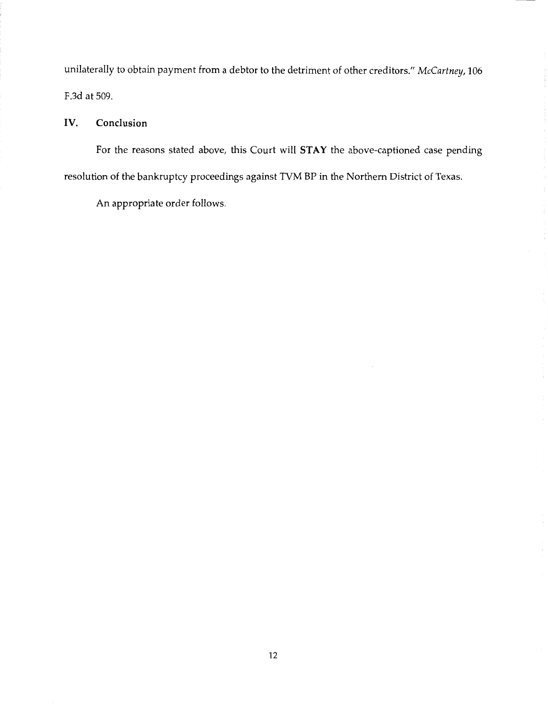unilaterally to obtain payment from a debtor to the detriment of other creditors." *McCartney,* 106 F.3d at 509.

## **IV. Conclusion**

For the reasons stated above, this Court will **STAY** the above-captioned case pending resolution of the bankruptcy proceedings against TVM BP in the Northern District of Texas.

An appropriate order follows.